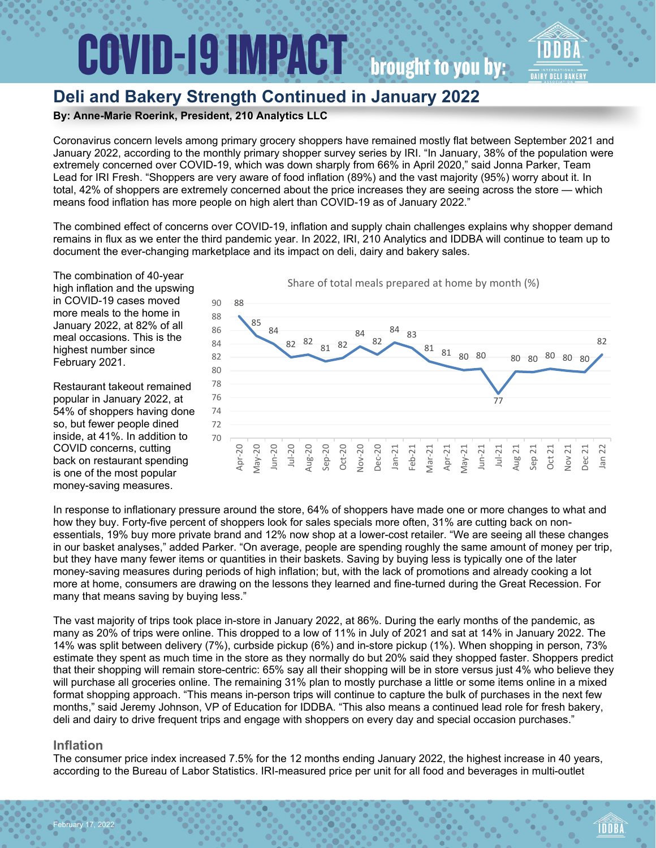### **COVID-19 IMPACT: brought to you by:**

### **Deli and Bakery Strength Continued in January 2022**

#### **By: Anne-Marie Roerink, President, 210 Analytics LLC**

Coronavirus concern levels among primary grocery shoppers have remained mostly flat between September 2021 and January 2022, according to the monthly primary shopper survey series by IRI. "In January, 38% of the population were extremely concerned over COVID-19, which was down sharply from 66% in April 2020," said Jonna Parker, Team Lead for IRI Fresh. "Shoppers are very aware of food inflation (89%) and the vast majority (95%) worry about it. In total, 42% of shoppers are extremely concerned about the price increases they are seeing across the store — which means food inflation has more people on high alert than COVID-19 as of January 2022."

The combined effect of concerns over COVID-19, inflation and supply chain challenges explains why shopper demand remains in flux as we enter the third pandemic year. In 2022, IRI, 210 Analytics and IDDBA will continue to team up to document the ever-changing marketplace and its impact on deli, dairy and bakery sales.

The combination of 40-year high inflation and the upswing in COVID-19 cases moved more meals to the home in January 2022, at 82% of all meal occasions. This is the highest number since February 2021.

Restaurant takeout remained popular in January 2022, at 54% of shoppers having done so, but fewer people dined inside, at 41%. In addition to COVID concerns, cutting back on restaurant spending is one of the most popular money-saving measures.



In response to inflationary pressure around the store, 64% of shoppers have made one or more changes to what and how they buy. Forty-five percent of shoppers look for sales specials more often, 31% are cutting back on nonessentials, 19% buy more private brand and 12% now shop at a lower-cost retailer. "We are seeing all these changes in our basket analyses," added Parker. "On average, people are spending roughly the same amount of money per trip, but they have many fewer items or quantities in their baskets. Saving by buying less is typically one of the later money-saving measures during periods of high inflation; but, with the lack of promotions and already cooking a lot more at home, consumers are drawing on the lessons they learned and fine-turned during the Great Recession. For many that means saving by buying less."

The vast majority of trips took place in-store in January 2022, at 86%. During the early months of the pandemic, as many as 20% of trips were online. This dropped to a low of 11% in July of 2021 and sat at 14% in January 2022. The 14% was split between delivery (7%), curbside pickup (6%) and in-store pickup (1%). When shopping in person, 73% estimate they spent as much time in the store as they normally do but 20% said they shopped faster. Shoppers predict that their shopping will remain store-centric: 65% say all their shopping will be in store versus just 4% who believe they will purchase all groceries online. The remaining 31% plan to mostly purchase a little or some items online in a mixed format shopping approach. "This means in-person trips will continue to capture the bulk of purchases in the next few months," said Jeremy Johnson, VP of Education for IDDBA. "This also means a continued lead role for fresh bakery, deli and dairy to drive frequent trips and engage with shoppers on every day and special occasion purchases."

#### **Inflation**

bruary 17, 2022

The consumer price index increased 7.5% for the 12 months ending January 2022, the highest increase in 40 years, according to the Bureau of Labor Statistics. IRI-measured price per unit for all food and beverages in multi-outlet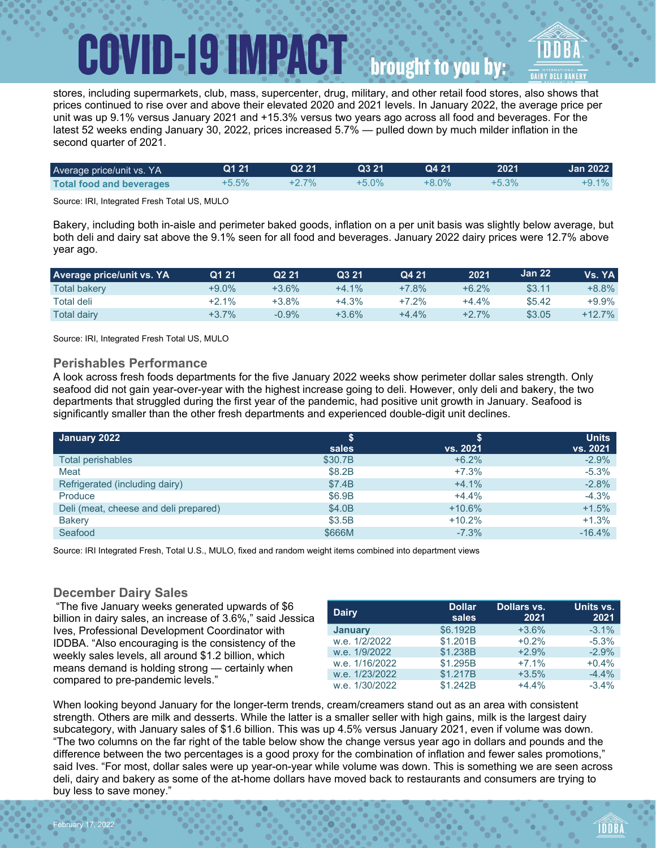### **ID-19 IMPACTS** brought to you by:

stores, including supermarkets, club, mass, supercenter, drug, military, and other retail food stores, also shows that prices continued to rise over and above their elevated 2020 and 2021 levels. In January 2022, the average price per unit was up 9.1% versus January 2021 and +15.3% versus two years ago across all food and beverages. For the latest 52 weeks ending January 30, 2022, prices increased 5.7% — pulled down by much milder inflation in the second quarter of 2021.

| Average price/unit vs. YA       | Q121  | Q <sub>2</sub> 21 | Q3 21    | Q4 21    | 2021     | <b>Jan 2022</b> |
|---------------------------------|-------|-------------------|----------|----------|----------|-----------------|
| <b>Total food and beverages</b> | +5.5% | $+2.7%$           | $+5.0\%$ | $+8.0\%$ | $+5.3\%$ | +9.1%           |

Source: IRI, Integrated Fresh Total US, MULO

Bakery, including both in-aisle and perimeter baked goods, inflation on a per unit basis was slightly below average, but both deli and dairy sat above the 9.1% seen for all food and beverages. January 2022 dairy prices were 12.7% above year ago.

| <b>Average price/unit vs. YA</b> | Q1 21   | Q <sub>2</sub> 21 | Q3 21   | Q4 21   | 2021    | Jan 22 | Vs. YA    |
|----------------------------------|---------|-------------------|---------|---------|---------|--------|-----------|
| <b>Total bakery</b>              | +9.0%   | +3.6%             | $+4.1%$ | +7.8%   | $+6.2%$ | \$3.11 | +8.8%     |
| Total deli                       | $+2.1%$ | $+3.8\%$          | $+4.3%$ | +7.2%   | +4.4%   | \$5.42 | $+9.9\%$  |
| <b>Total dairy</b>               | +3.7%   | $-0.9%$           | $+3.6%$ | $+4.4%$ | $+2.7%$ | \$3.05 | $+12.7\%$ |

Source: IRI, Integrated Fresh Total US, MULO

#### **Perishables Performance**

A look across fresh foods departments for the five January 2022 weeks show perimeter dollar sales strength. Only seafood did not gain year-over-year with the highest increase going to deli. However, only deli and bakery, the two departments that struggled during the first year of the pandemic, had positive unit growth in January. Seafood is significantly smaller than the other fresh departments and experienced double-digit unit declines.

| January 2022                          |         |          | <b>Units</b> |
|---------------------------------------|---------|----------|--------------|
|                                       | sales   | vs. 2021 | vs. 2021     |
| <b>Total perishables</b>              | \$30.7B | $+6.2%$  | $-2.9%$      |
| Meat                                  | \$8.2B  | $+7.3%$  | $-5.3%$      |
| Refrigerated (including dairy)        | \$7.4B  | $+4.1%$  | $-2.8%$      |
| Produce                               | \$6.9B  | $+4.4%$  | $-4.3%$      |
| Deli (meat, cheese and deli prepared) | \$4.0B  | $+10.6%$ | $+1.5%$      |
| <b>Bakery</b>                         | \$3.5B  | $+10.2%$ | $+1.3%$      |
| Seafood                               | \$666M  | $-7.3%$  | $-16.4%$     |

Source: IRI Integrated Fresh, Total U.S., MULO, fixed and random weight items combined into department views

#### **December Dairy Sales**

February 17, 2022

"The five January weeks generated upwards of \$6 billion in dairy sales, an increase of 3.6%," said Jessica Ives, Professional Development Coordinator with IDDBA. "Also encouraging is the consistency of the weekly sales levels, all around \$1.2 billion, which means demand is holding strong — certainly when compared to pre-pandemic levels."

| <b>Dairy</b>   | <b>Dollar</b><br>sales | Dollars vs.<br>2021 | Units vs.<br>2021 |
|----------------|------------------------|---------------------|-------------------|
| <b>January</b> | \$6.192B               | $+3.6%$             | $-3.1%$           |
| w.e. 1/2/2022  | \$1.201B               | $+0.2%$             | $-5.3%$           |
| w.e. 1/9/2022  | \$1.238B               | $+2.9%$             | $-2.9%$           |
| w.e. 1/16/2022 | \$1.295B               | $+7.1%$             | $+0.4%$           |
| w.e. 1/23/2022 | \$1.217B               | $+3.5%$             | $-4.4%$           |
| w.e. 1/30/2022 | \$1.242B               | $+4.4%$             | $-3.4%$           |

When looking beyond January for the longer-term trends, cream/creamers stand out as an area with consistent strength. Others are milk and desserts. While the latter is a smaller seller with high gains, milk is the largest dairy subcategory, with January sales of \$1.6 billion. This was up 4.5% versus January 2021, even if volume was down. "The two columns on the far right of the table below show the change versus year ago in dollars and pounds and the difference between the two percentages is a good proxy for the combination of inflation and fewer sales promotions," said Ives. "For most, dollar sales were up year-on-year while volume was down. This is something we are seen across deli, dairy and bakery as some of the at-home dollars have moved back to restaurants and consumers are trying to buy less to save money."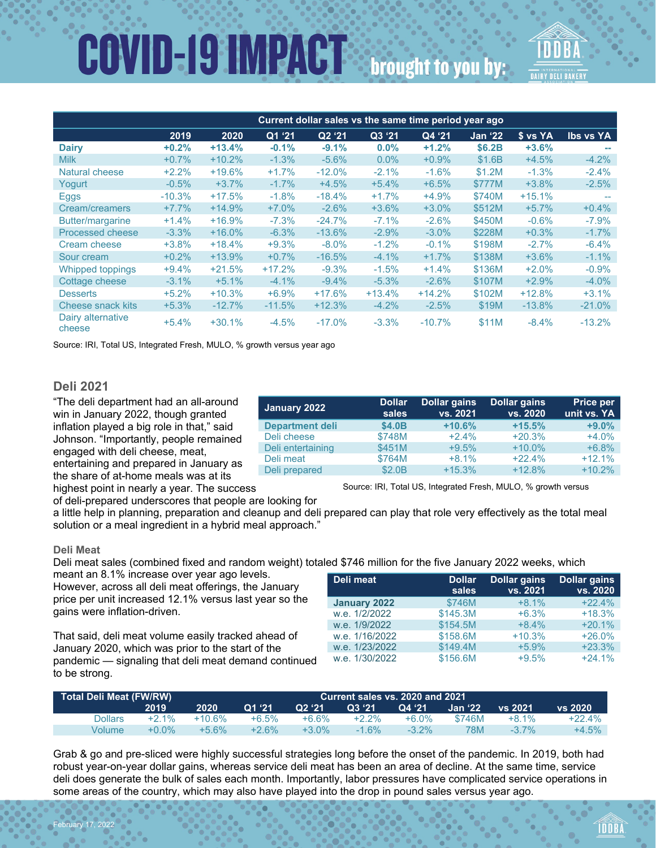# **COVID-19 IMPACT** brought to you by:

|                             | Current dollar sales vs the same time period year ago |          |          |                    |          |          |                |          |                  |  |  |
|-----------------------------|-------------------------------------------------------|----------|----------|--------------------|----------|----------|----------------|----------|------------------|--|--|
|                             | 2019                                                  | 2020     | Q1 '21   | Q <sub>2</sub> '21 | Q3 '21   | Q4 '21   | <b>Jan '22</b> | \$ vs YA | <b>Ibs vs YA</b> |  |  |
| <b>Dairy</b>                | $+0.2%$                                               | $+13.4%$ | $-0.1%$  | $-9.1%$            | $0.0\%$  | $+1.2%$  | \$6.2B         | $+3.6%$  |                  |  |  |
| <b>Milk</b>                 | $+0.7%$                                               | $+10.2%$ | $-1.3%$  | $-5.6%$            | $0.0\%$  | $+0.9%$  | \$1.6B         | $+4.5%$  | $-4.2%$          |  |  |
| Natural cheese              | $+2.2%$                                               | $+19.6%$ | $+1.7%$  | $-12.0%$           | $-2.1%$  | $-1.6%$  | \$1.2M         | $-1.3%$  | $-2.4%$          |  |  |
| Yogurt                      | $-0.5%$                                               | $+3.7%$  | $-1.7%$  | $+4.5%$            | $+5.4%$  | $+6.5%$  | \$777M         | $+3.8%$  | $-2.5%$          |  |  |
| Eggs                        | $-10.3%$                                              | $+17.5%$ | $-1.8%$  | $-18.4%$           | $+1.7%$  | $+4.9%$  | \$740M         | $+15.1%$ |                  |  |  |
| Cream/creamers              | $+7.7%$                                               | $+14.9%$ | $+7.0\%$ | $-2.6%$            | $+3.6%$  | $+3.0%$  | \$512M         | $+5.7%$  | $+0.4%$          |  |  |
| Butter/margarine            | $+1.4%$                                               | $+16.9%$ | $-7.3%$  | $-24.7%$           | $-7.1%$  | $-2.6%$  | \$450M         | $-0.6%$  | $-7.9\%$         |  |  |
| Processed cheese            | $-3.3\%$                                              | $+16.0%$ | $-6.3%$  | $-13.6%$           | $-2.9%$  | $-3.0\%$ | \$228M         | $+0.3%$  | $-1.7%$          |  |  |
| Cream cheese                | $+3.8%$                                               | $+18.4%$ | $+9.3%$  | $-8.0\%$           | $-1.2%$  | $-0.1\%$ | \$198M         | $-2.7%$  | $-6.4%$          |  |  |
| Sour cream                  | $+0.2%$                                               | $+13.9%$ | $+0.7\%$ | $-16.5%$           | $-4.1%$  | $+1.7%$  | \$138M         | $+3.6%$  | $-1.1%$          |  |  |
| <b>Whipped toppings</b>     | $+9.4%$                                               | $+21.5%$ | $+17.2%$ | $-9.3%$            | $-1.5%$  | $+1.4%$  | \$136M         | $+2.0%$  | $-0.9\%$         |  |  |
| Cottage cheese              | $-3.1%$                                               | $+5.1%$  | $-4.1%$  | $-9.4%$            | $-5.3%$  | $-2.6%$  | \$107M         | $+2.9%$  | $-4.0%$          |  |  |
| <b>Desserts</b>             | $+5.2%$                                               | $+10.3%$ | $+6.9%$  | $+17.6%$           | $+13.4%$ | $+14.2%$ | \$102M         | $+12.8%$ | $+3.1%$          |  |  |
| Cheese snack kits           | $+5.3%$                                               | $-12.7%$ | $-11.5%$ | $+12.3%$           | $-4.2%$  | $-2.5%$  | \$19M          | $-13.8%$ | $-21.0%$         |  |  |
| Dairy alternative<br>cheese | $+5.4%$                                               | $+30.1%$ | $-4.5%$  | $-17.0%$           | $-3.3%$  | $-10.7%$ | \$11M          | $-8.4%$  | $-13.2%$         |  |  |

Source: IRI, Total US, Integrated Fresh, MULO, % growth versus year ago

#### **Deli 2021**

"The deli department had an all-around win in January 2022, though granted inflation played a big role in that," said Johnson. "Importantly, people remained engaged with deli cheese, meat, entertaining and prepared in January as the share of at-home meals was at its highest point in nearly a year. The success

| January 2022           | <b>Dollar</b><br>sales | <b>Dollar gains</b><br>vs. 2021 | Dollar gains<br>vs. 2020 | Price per<br>unit vs. YA |
|------------------------|------------------------|---------------------------------|--------------------------|--------------------------|
| <b>Department deli</b> | \$4.0B                 | $+10.6%$                        | $+15.5%$                 | $+9.0%$                  |
| Deli cheese            | \$748M                 | $+2.4%$                         | $+20.3%$                 | $+4.0%$                  |
| Deli entertaining      | \$451M                 | $+9.5%$                         | $+10.0\%$                | $+6.8%$                  |
| Deli meat              | \$764M                 | $+8.1%$                         | $+22.4%$                 | $+12.1%$                 |
| Deli prepared          | \$2.0B                 | $+15.3%$                        | $+12.8%$                 | $+10.2%$                 |

Source: IRI, Total US, Integrated Fresh, MULO, % growth versus

of deli-prepared underscores that people are looking for

a little help in planning, preparation and cleanup and deli prepared can play that role very effectively as the total meal solution or a meal ingredient in a hybrid meal approach."

#### **Deli Meat**

February 17, 2022

Deli meat sales (combined fixed and random weight) totaled \$746 million for the five January 2022 weeks, which

meant an 8.1% increase over year ago levels. However, across all deli meat offerings, the January price per unit increased 12.1% versus last year so the gains were inflation-driven.

That said, deli meat volume easily tracked ahead of January 2020, which was prior to the start of the pandemic — signaling that deli meat demand continued to be strong.

| Deli meat      | <b>Dollar</b><br>sales | <b>Dollar gains</b><br>vs. 2021 | <b>Dollar gains</b><br>vs. 2020 |
|----------------|------------------------|---------------------------------|---------------------------------|
| January 2022   | \$746M                 | $+8.1%$                         | $+22.4%$                        |
| w.e. 1/2/2022  | \$145.3M               | $+6.3%$                         | $+18.3%$                        |
| w.e. 1/9/2022  | \$154.5M               | $+8.4%$                         | $+20.1%$                        |
| w.e. 1/16/2022 | \$158.6M               | $+10.3%$                        | $+26.0%$                        |
| w.e. 1/23/2022 | \$149.4M               | $+5.9%$                         | $+23.3%$                        |
| w.e. 1/30/2022 | \$156.6M               | $+9.5%$                         | $+24.1%$                        |

| Total Deli Meat (FW/RW) |          |          |          | Current sales vs. 2020 and 2021 |                 |          |         |          |          |
|-------------------------|----------|----------|----------|---------------------------------|-----------------|----------|---------|----------|----------|
|                         | 2019     | 2020     | IO1 '21' | Q2 '21                          | <b>Q3 '21</b> ' | Q4 '21   | Jan '22 | vs 2021  | vs. 2020 |
| Dollars                 | $+2.1\%$ | $+10.6%$ | +6.5%    | $+6.6%$                         | $+2.2\%$        | $+6.0\%$ | \$746M  | $+8.1%$  | $+22.4%$ |
| Volume                  | $+0.0\%$ | $+5.6%$  | $+26%$   | $+3.0\%$                        | $-1.6\%$        | $-3.2\%$ | 78M     | $-3.7\%$ | $+4.5\%$ |

Grab & go and pre-sliced were highly successful strategies long before the onset of the pandemic. In 2019, both had robust year-on-year dollar gains, whereas service deli meat has been an area of decline. At the same time, service deli does generate the bulk of sales each month. Importantly, labor pressures have complicated service operations in some areas of the country, which may also have played into the drop in pound sales versus year ago.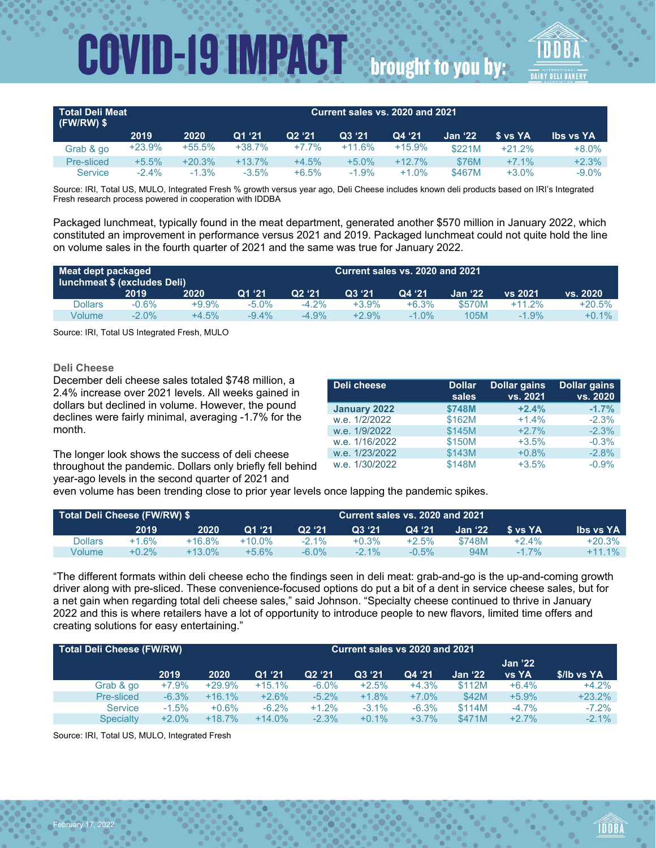| Total Deli Meat<br>$(FW/RW)$ \$ |          | Current sales vs. 2020 and 2021 |          |          |          |           |                  |            |           |
|---------------------------------|----------|---------------------------------|----------|----------|----------|-----------|------------------|------------|-----------|
|                                 | 2019     | 2020                            | Q1 '21   | Q2 '21   | Q3 '21   | Q4 '21    | <b>Jan '22</b> . | ∣\$ vs YA' | lbs vs YA |
| Grab & go                       | $+23.9%$ | $+55.5%$                        | $+38.7%$ | $+7.7\%$ | $+11.6%$ | $+15.9%$  | \$221M           | $+21.2%$   | $+8.0%$   |
| Pre-sliced                      | $+5.5%$  | $+20.3%$                        | $+13.7%$ | $+4.5%$  | $+5.0\%$ | $+12.7\%$ | \$76M            | $+7.1%$    | $+2.3%$   |
| <b>Service</b>                  | $-2.4\%$ | $-1.3%$                         | $-3.5\%$ | $+6.5%$  | $-1.9%$  | $+1.0%$   | \$467M           | $+3.0%$    | $-9.0\%$  |

Source: IRI, Total US, MULO, Integrated Fresh % growth versus year ago, Deli Cheese includes known deli products based on IRI's Integrated Fresh research process powered in cooperation with IDDBA

Packaged lunchmeat, typically found in the meat department, generated another \$570 million in January 2022, which constituted an improvement in performance versus 2021 and 2019. Packaged lunchmeat could not quite hold the line on volume sales in the fourth quarter of 2021 and the same was true for January 2022.

| Meat dept packaged<br>lunchmeat \$ (excludes Deli) |          | Current sales vs. 2020 and 2021 |          |          |          |          |         |          |          |
|----------------------------------------------------|----------|---------------------------------|----------|----------|----------|----------|---------|----------|----------|
|                                                    | 2019     | 2020                            | Q1, 21   | O2 '21   | O3'21    | Q4 '21   | Jan '22 | vs 2021  | vs. 2020 |
| Dollars                                            | $-0.6%$  | +9.9%                           | $-5.0\%$ | $-4.2\%$ | +3.9%    | $+6.3%$  | \$570M  | $+11.2%$ | +20.5%   |
| Volume                                             | $-2.0\%$ | $+4.5%$                         | -9.4%    | $-4.9\%$ | $+2.9\%$ | $-1.0\%$ | 105M    | $-1.9%$  | $+0.1\%$ |

Source: IRI, Total US Integrated Fresh, MULO

#### **Deli Cheese**

December deli cheese sales totaled \$748 million, a 2.4% increase over 2021 levels. All weeks gained in dollars but declined in volume. However, the pound declines were fairly minimal, averaging -1.7% for the month.

The longer look shows the success of deli cheese throughout the pandemic. Dollars only briefly fell behind year-ago levels in the second quarter of 2021 and

| Deli cheese    | <b>Dollar</b><br>sales | <b>Dollar gains</b><br>vs. 2021 | <b>Dollar gains</b><br>vs. 2020 |
|----------------|------------------------|---------------------------------|---------------------------------|
| January 2022   | \$748M                 | $+2.4%$                         | $-1.7%$                         |
| w.e. 1/2/2022  | \$162M                 | $+1.4%$                         | $-2.3%$                         |
| w.e. 1/9/2022  | \$145M                 | $+2.7%$                         | $-2.3%$                         |
| w.e. 1/16/2022 | \$150M                 | $+3.5%$                         | $-0.3%$                         |
| w.e. 1/23/2022 | \$143M                 | $+0.8%$                         | $-2.8%$                         |
| w.e. 1/30/2022 | \$148M                 | $+3.5%$                         | $-0.9%$                         |

even volume has been trending close to prior year levels once lapping the pandemic spikes.

|         |          | Total Deli Cheese (FW/RW) \$ |           |          |          | Current sales vs. 2020 and 2021 |                 |           |                  |  |
|---------|----------|------------------------------|-----------|----------|----------|---------------------------------|-----------------|-----------|------------------|--|
|         | 2019     | 2020                         | Q1'21     | Q2 '21   | Q3 '21   | Q4 '21                          | <b>Jan '22.</b> | .S vs YA' | <b>Ibs vs YA</b> |  |
| Dollars | +1.6%    | +16.8%                       | $+10.0\%$ | $-2.1\%$ | $+0.3%$  | +2.5%                           | \$748M          | $+2.4%$   | +20.3%           |  |
| Volume  | $+0.2\%$ | $+13.0\%$                    | $+5.6\%$  | $-6.0\%$ | $-2.1\%$ | $-0.5\%$                        | 94M             | $-1.7\%$  | $+11.1\%$        |  |

"The different formats within deli cheese echo the findings seen in deli meat: grab-and-go is the up-and-coming growth driver along with pre-sliced. These convenience-focused options do put a bit of a dent in service cheese sales, but for a net gain when regarding total deli cheese sales," said Johnson. "Specialty cheese continued to thrive in January 2022 and this is where retailers have a lot of opportunity to introduce people to new flavors, limited time offers and creating solutions for easy entertaining."

| Total Deli Cheese (FW/RW) |         |          | Current sales vs 2020 and 2021 |          |          |          |                |                |             |
|---------------------------|---------|----------|--------------------------------|----------|----------|----------|----------------|----------------|-------------|
|                           |         |          |                                |          |          |          |                | <b>Jan '22</b> |             |
|                           | 2019    | 2020     | Q1'21                          | Q2 '21   | Q3 '21   | Q4 '21   | <b>Jan '22</b> | <b>vs YA</b>   | \$/lb vs YA |
| Grab & go                 | $+7.9%$ | $+29.9%$ | $+15.1%$                       | $-6.0\%$ | $+2.5%$  | $+4.3%$  | \$112M         | $+6.4%$        | $+4.2%$     |
| Pre-sliced                | $-6.3%$ | $+16.1%$ | $+2.6%$                        | $-5.2%$  | $+1.8%$  | $+7.0\%$ | \$42M          | $+5.9%$        | $+23.2%$    |
| <b>Service</b>            | $-1.5%$ | $+0.6%$  | $-6.2%$                        | $+1.2%$  | $-3.1\%$ | $-6.3%$  | \$114M         | $-4.7\%$       | $-7.2%$     |
| <b>Specialty</b>          | $+2.0%$ | $+18.7%$ | $+14.0\%$                      | $-2.3%$  | $+0.1%$  | $+3.7%$  | \$471M         | $+2.7%$        | $-2.1\%$    |

Source: IRI, Total US, MULO, Integrated Fresh

February 17, 2022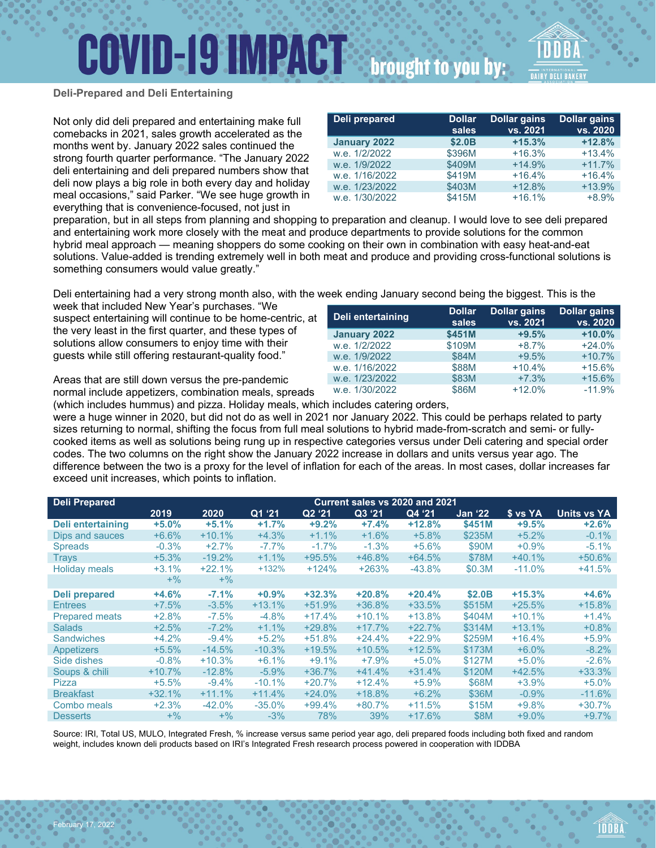## **COVID-19 IMPACT**



brought to you by:

#### **Deli-Prepared and Deli Entertaining**

Not only did deli prepared and entertaining make full comebacks in 2021, sales growth accelerated as the months went by. January 2022 sales continued the strong fourth quarter performance. "The January 2022 deli entertaining and deli prepared numbers show that deli now plays a big role in both every day and holiday meal occasions," said Parker. "We see huge growth in everything that is convenience-focused, not just in

| preparation, but in all steps from planning and shopping to preparation and cleanup. I would love to see deli prepared |
|------------------------------------------------------------------------------------------------------------------------|
| and entertaining work more closely with the meat and produce departments to provide solutions for the common           |
| hybrid meal approach — meaning shoppers do some cooking on their own in combination with easy heat-and-eat             |
| solutions. Value-added is trending extremely well in both meat and produce and providing cross-functional solutions is |
| something consumers would value greatly."                                                                              |

Deli entertaining had a very strong month also, with the week ending January second being the biggest. This is the

week that included New Year's purchases. "We suspect entertaining will continue to be home-centric, at the very least in the first quarter, and these types of solutions allow consumers to enjoy time with their guests while still offering restaurant-quality food."

Areas that are still down versus the pre-pandemic normal include appetizers, combination meals, spreads

February 17, 2022

| Deli entertaining | <b>Dollar</b><br>sales | <b>Dollar gains</b><br>vs. 2021 | <b>Dollar gains</b><br>vs. 2020 |
|-------------------|------------------------|---------------------------------|---------------------------------|
| January 2022      | \$451M                 | $+9.5%$                         | $+10.0%$                        |
| w.e. 1/2/2022     | \$109M                 | $+8.7%$                         | $+24.0%$                        |
| w.e. 1/9/2022     | \$84M                  | $+9.5%$                         | $+10.7%$                        |
| w.e. 1/16/2022    | \$88M                  | $+10.4%$                        | $+15.6%$                        |
| w.e. 1/23/2022    | \$83M                  | $+7.3%$                         | $+15.6%$                        |
| w.e. 1/30/2022    | \$86M                  | $+12.0%$                        | $-11.9%$                        |
| .                 |                        |                                 |                                 |

(which includes hummus) and pizza. Holiday meals, which includes catering orders,

were a huge winner in 2020, but did not do as well in 2021 nor January 2022. This could be perhaps related to party sizes returning to normal, shifting the focus from full meal solutions to hybrid made-from-scratch and semi- or fullycooked items as well as solutions being rung up in respective categories versus under Deli catering and special order codes. The two columns on the right show the January 2022 increase in dollars and units versus year ago. The difference between the two is a proxy for the level of inflation for each of the areas. In most cases, dollar increases far exceed unit increases, which points to inflation.

| <b>Deli Prepared</b>  | Current sales vs 2020 and 2021 |           |          |          |          |          |                |          |             |
|-----------------------|--------------------------------|-----------|----------|----------|----------|----------|----------------|----------|-------------|
|                       | 2019                           | 2020      | Q1 '21   | Q2 '21   | Q3 '21   | Q4 '21   | <b>Jan '22</b> | \$ vs YA | Units vs YA |
| Deli entertaining     | $+5.0%$                        | $+5.1%$   | $+1.7%$  | $+9.2%$  | $+7.4%$  | $+12.8%$ | \$451M         | $+9.5%$  | $+2.6%$     |
| Dips and sauces       | $+6.6%$                        | $+10.1%$  | $+4.3%$  | $+1.1%$  | $+1.6%$  | $+5.8%$  | \$235M         | $+5.2%$  | $-0.1%$     |
| <b>Spreads</b>        | $-0.3%$                        | $+2.7%$   | $-7.7\%$ | $-1.7%$  | $-1.3%$  | $+5.6\%$ | \$90M          | $+0.9%$  | $-5.1\%$    |
| Trays                 | $+5.3%$                        | $-19.2%$  | $+1.1%$  | $+95.5%$ | $+46.8%$ | $+64.5%$ | \$78M          | $+40.1%$ | $+50.6%$    |
| <b>Holiday meals</b>  | $+3.1%$                        | $+22.1%$  | $+132%$  | $+124%$  | $+263%$  | $-43.8%$ | \$0.3M         | $-11.0%$ | $+41.5%$    |
|                       | $+$ %                          | $+$ %     |          |          |          |          |                |          |             |
| <b>Deli prepared</b>  | $+4.6%$                        | $-7.1%$   | $+0.9%$  | $+32.3%$ | $+20.8%$ | $+20.4%$ | \$2.0B         | $+15.3%$ | $+4.6%$     |
| <b>Entrees</b>        | $+7.5%$                        | $-3.5%$   | $+13.1%$ | $+51.9%$ | $+36.8%$ | $+33.5%$ | \$515M         | $+25.5%$ | $+15.8%$    |
| <b>Prepared meats</b> | $+2.8%$                        | $-7.5%$   | $-4.8%$  | $+17.4%$ | $+10.1%$ | $+13.8%$ | \$404M         | $+10.1%$ | $+1.4%$     |
| <b>Salads</b>         | $+2.5%$                        | $-7.2\%$  | $+1.1%$  | $+29.8%$ | $+17.7%$ | $+22.7%$ | \$314M         | $+13.1%$ | $+0.8%$     |
| <b>Sandwiches</b>     | $+4.2%$                        | $-9.4%$   | $+5.2%$  | $+51.8%$ | $+24.4%$ | $+22.9%$ | \$259M         | $+16.4%$ | $+5.9%$     |
| <b>Appetizers</b>     | $+5.5%$                        | $-14.5%$  | $-10.3%$ | $+19.5%$ | $+10.5%$ | $+12.5%$ | \$173M         | $+6.0%$  | $-8.2%$     |
| Side dishes           | $-0.8%$                        | $+10.3%$  | $+6.1%$  | $+9.1%$  | $+7.9%$  | $+5.0\%$ | \$127M         | $+5.0%$  | $-2.6%$     |
| Soups & chili         | $+10.7%$                       | $-12.8%$  | $-5.9\%$ | $+36.7%$ | $+41.4%$ | $+31.4%$ | \$120M         | $+42.5%$ | $+33.3%$    |
| Pizza                 | $+5.5%$                        | $-9.4\%$  | $-10.1%$ | $+20.7%$ | $+12.4%$ | $+5.9%$  | \$68M          | $+3.9%$  | $+5.0%$     |
| <b>Breakfast</b>      | $+32.1%$                       | $+11.1%$  | $+11.4%$ | $+24.0%$ | $+18.8%$ | $+6.2%$  | \$36M          | $-0.9%$  | $-11.6%$    |
| Combo meals           | $+2.3%$                        | $-42.0\%$ | $-35.0%$ | $+99.4%$ | $+80.7%$ | $+11.5%$ | \$15M          | $+9.8%$  | $+30.7%$    |
| <b>Desserts</b>       | $+$ %                          | $+$ %     | $-3%$    | 78%      | 39%      | $+17.6%$ | \$8M           | $+9.0%$  | $+9.7%$     |

Source: IRI, Total US, MULO, Integrated Fresh, % increase versus same period year ago, deli prepared foods including both fixed and random weight, includes known deli products based on IRI's Integrated Fresh research process powered in cooperation with IDDBA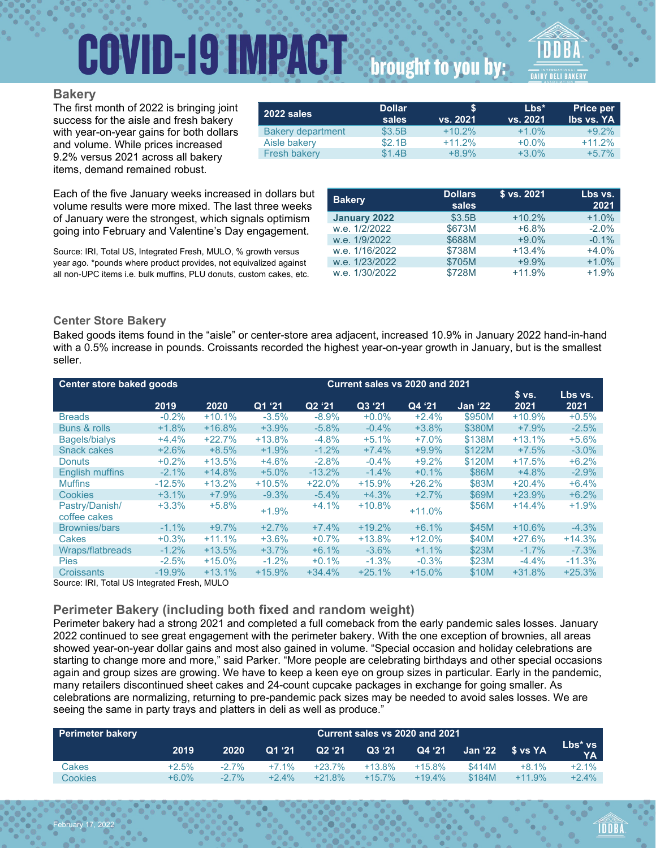## **COVID-19 IMPACT**

## brought to you by:

#### **Bakery**

The first month of 2022 is bringing joint success for the aisle and fresh bakery with year-on-year gains for both dollars and volume. While prices increased 9.2% versus 2021 across all bakery items, demand remained robust.

| 2022 sales               | <b>Dollar</b><br>sales | S<br>vs. 2021 | $Lbs^*$<br>vs. 2021 | <b>Price per</b><br><b>Ibs vs. YA</b> |
|--------------------------|------------------------|---------------|---------------------|---------------------------------------|
| <b>Bakery department</b> | \$3.5B                 | $+10.2%$      | $+1.0%$             | $+9.2%$                               |
| Aisle bakery             | \$2.1B                 | $+11.2%$      | $+0.0%$             | $+11.2%$                              |
| <b>Fresh bakery</b>      | \$1.4B                 | $+8.9%$       | $+3.0%$             | $+5.7%$                               |

Each of the five January weeks increased in dollars but volume results were more mixed. The last three weeks of January were the strongest, which signals optimism going into February and Valentine's Day engagement.

Source: IRI, Total US, Integrated Fresh, MULO, % growth versus year ago. \*pounds where product provides, not equivalized against all non-UPC items i.e. bulk muffins, PLU donuts, custom cakes, etc.

| <b>Dollars</b><br>sales | \$ vs. 2021 | Lbs vs.<br>2021 |
|-------------------------|-------------|-----------------|
| \$3.5B                  | $+10.2%$    | $+1.0%$         |
| \$673M                  | $+6.8%$     | $-2.0%$         |
| \$688M                  | $+9.0%$     | $-0.1%$         |
| \$738M                  | $+13.4%$    | $+4.0%$         |
| \$705M                  | $+9.9%$     | $+1.0%$         |
| \$728M                  | $+11.9%$    | $+1.9%$         |
|                         |             |                 |

#### **Center Store Bakery**

Baked goods items found in the "aisle" or center-store area adjacent, increased 10.9% in January 2022 hand-in-hand with a 0.5% increase in pounds. Croissants recorded the highest year-on-year growth in January, but is the smallest seller.

| Center store baked goods       |           | Current sales vs 2020 and 2021 |          |                    |          |          |                |               |                 |
|--------------------------------|-----------|--------------------------------|----------|--------------------|----------|----------|----------------|---------------|-----------------|
|                                | 2019      | 2020                           | Q1 '21   | Q <sub>2</sub> '21 | Q3 '21   | Q4 '21   | <b>Jan '22</b> | \$vs.<br>2021 | Lbs vs.<br>2021 |
| <b>Breads</b>                  | $-0.2%$   | $+10.1%$                       | $-3.5%$  | $-8.9%$            | $+0.0%$  | $+2.4%$  | \$950M         | $+10.9%$      | $+0.5%$         |
| Buns & rolls                   | $+1.8%$   | $+16.8%$                       | $+3.9%$  | $-5.8%$            | $-0.4%$  | $+3.8%$  | \$380M         | $+7.9%$       | $-2.5%$         |
| <b>Bagels/bialys</b>           | $+4.4%$   | $+22.7%$                       | $+13.8%$ | $-4.8%$            | $+5.1%$  | $+7.0%$  | \$138M         | $+13.1%$      | $+5.6%$         |
| <b>Snack cakes</b>             | $+2.6%$   | $+8.5%$                        | $+1.9%$  | $-1.2%$            | $+7.4%$  | $+9.9%$  | \$122M         | $+7.5%$       | $-3.0%$         |
| <b>Donuts</b>                  | $+0.2%$   | $+13.5%$                       | $+4.6%$  | $-2.8%$            | $-0.4%$  | $+9.2%$  | \$120M         | $+17.5%$      | $+6.2%$         |
| <b>English muffins</b>         | $-2.1%$   | $+14.8%$                       | $+5.0\%$ | $-13.2%$           | $-1.4%$  | $+0.1%$  | \$86M          | $+4.8%$       | $-2.9%$         |
| <b>Muffins</b>                 | $-12.5%$  | $+13.2%$                       | $+10.5%$ | $+22.0%$           | $+15.9%$ | $+26.2%$ | \$83M          | $+20.4%$      | $+6.4%$         |
| Cookies                        | $+3.1%$   | $+7.9%$                        | $-9.3%$  | $-5.4%$            | $+4.3%$  | $+2.7%$  | \$69M          | $+23.9%$      | $+6.2%$         |
| Pastry/Danish/<br>coffee cakes | $+3.3%$   | $+5.8%$                        | $+1.9%$  | $+4.1%$            | $+10.8%$ | $+11.0%$ | \$56M          | $+14.4%$      | $+1.9%$         |
| Brownies/bars                  | $-1.1%$   | $+9.7%$                        | $+2.7%$  | $+7.4%$            | $+19.2%$ | $+6.1%$  | \$45M          | $+10.6%$      | $-4.3%$         |
| Cakes                          | $+0.3%$   | $+11.1%$                       | $+3.6%$  | $+0.7%$            | $+13.8%$ | $+12.0%$ | \$40M          | $+27.6%$      | $+14.3%$        |
| <b>Wraps/flatbreads</b>        | $-1.2\%$  | $+13.5%$                       | $+3.7%$  | $+6.1%$            | $-3.6%$  | $+1.1%$  | \$23M          | $-1.7\%$      | $-7.3%$         |
| <b>Pies</b>                    | $-2.5%$   | $+15.0%$                       | $-1.2%$  | $+0.1%$            | $-1.3%$  | $-0.3%$  | \$23M          | $-4.4\%$      | $-11.3%$        |
| <b>Croissants</b>              | $-19.9\%$ | $+13.1%$                       | $+15.9%$ | $+34.4%$           | $+25.1%$ | $+15.0%$ | \$10M          | $+31.8%$      | $+25.3%$        |

Source: IRI, Total US Integrated Fresh, MULO

February 17, 2022

#### **Perimeter Bakery (including both fixed and random weight)**

Perimeter bakery had a strong 2021 and completed a full comeback from the early pandemic sales losses. January 2022 continued to see great engagement with the perimeter bakery. With the one exception of brownies, all areas showed year-on-year dollar gains and most also gained in volume. "Special occasion and holiday celebrations are starting to change more and more," said Parker. "More people are celebrating birthdays and other special occasions again and group sizes are growing. We have to keep a keen eye on group sizes in particular. Early in the pandemic, many retailers discontinued sheet cakes and 24-count cupcake packages in exchange for going smaller. As celebrations are normalizing, returning to pre-pandemic pack sizes may be needed to avoid sales losses. We are seeing the same in party trays and platters in deli as well as produce."

| <b>Perimeter bakery</b> | Current sales vs 2020 and 2021 |          |         |           |           |          |         |          |                      |
|-------------------------|--------------------------------|----------|---------|-----------|-----------|----------|---------|----------|----------------------|
|                         | 2019                           | 2020     | Q1 '21  | Q2 '21    | Q3 '21    | Q4 '21   | Jan '22 | S vs YA  | Lbs* vs<br><b>YA</b> |
| Cakes                   | $+2.5%$                        | $-27%$   | $+7.1%$ | $+23.7\%$ | $+13.8%$  | $+15.8%$ | \$414M  | $+8.1%$  | $+2.1\%$             |
| Cookies                 | $+6.0\%$                       | $-2.7\%$ | $+2.4%$ | $+21.8%$  | $+15.7\%$ | $+19.4%$ | \$184M  | $+11.9%$ | $+2.4%$              |